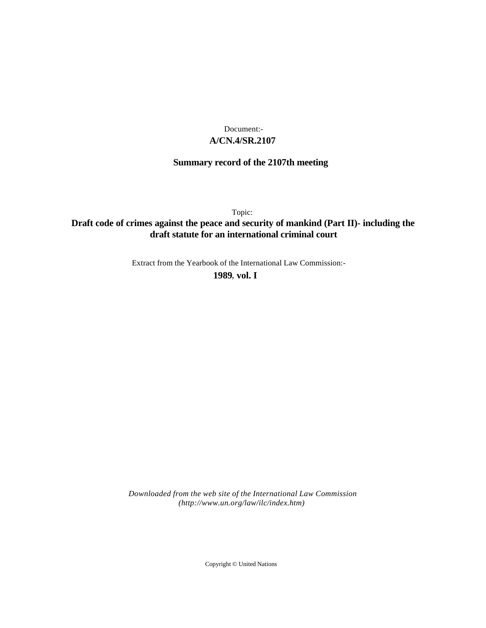## **A/CN.4/SR.2107** Document:-

# **Summary record of the 2107th meeting**

Topic:

# **Draft code of crimes against the peace and security of mankind (Part II)- including the draft statute for an international criminal court**

Extract from the Yearbook of the International Law Commission:-

**1989** , **vol. I**

*Downloaded from the web site of the International Law Commission (http://www.un.org/law/ilc/index.htm)*

Copyright © United Nations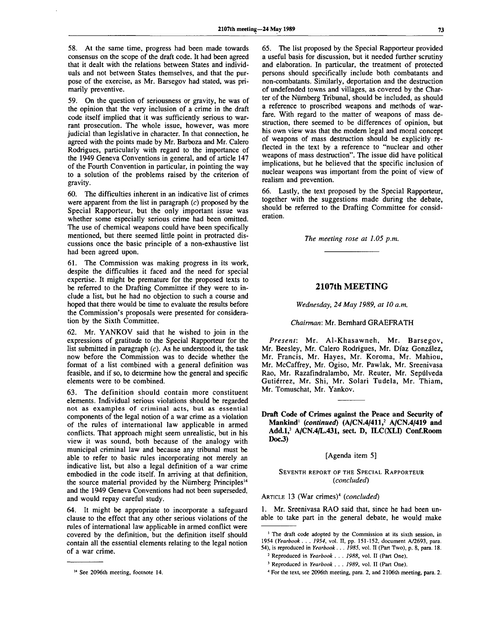58. At the same time, progress had been made towards consensus on the scope of the draft code. It had been agreed that it dealt with the relations between States and individuals and not between States themselves, and that the purpose of the exercise, as Mr. Barsegov had stated, was primarily preventive.

59. On the question of seriousness or gravity, he was of the opinion that the very inclusion of a crime in the draft code itself implied that it was sufficiently serious to warrant prosecution. The whole issue, however, was more judicial than legislative in character. In that connection, he agreed with the points made by Mr. Barboza and Mr. Calero Rodrigues, particularly with regard to the importance of the 1949 Geneva Conventions in general, and of article 147 of the Fourth Convention in particular, in pointing the way to a solution of the problems raised by the criterion of gravity.

60. The difficulties inherent in an indicative list of crimes were apparent from the list in paragraph *(c)* proposed by the Special Rapporteur, but the only important issue was whether some especially serious crime had been omitted. The use of chemical weapons could have been specifically mentioned, but there seemed little point in protracted discussions once the basic principle of a non-exhaustive list had been agreed upon.

61. The Commission was making progress in its work, despite the difficulties it faced and the need for special expertise. It might be premature for the proposed texts to be referred to the Drafting Committee if they were to include a list, but he had no objection to such a course and hoped that there would be time to evaluate the results before the Commission's proposals were presented for consideration by the Sixth Committee.

62. Mr. YANKOV said that he wished to join in the expressions of gratitude to the Special Rapporteur for the list submitted in paragraph  $(c)$ . As he understood it, the task now before the Commission was to decide whether the format of a list combined with a general definition was feasible, and if so, to determine how the general and specific elements were to be combined.

63. The definition should contain more constituent elements. Individual serious violations should be regarded not as examples of criminal acts, but as essential components of the legal notion of a war crime as a violation of the rules of international law applicable in armed conflicts. That approach might seem unrealistic, but in his view it was sound, both because of the analogy with municipal criminal law and because any tribunal must be able to refer to basic rules incorporating not merely an indicative list, but also a legal definition of a war crime embodied in the code itself. In arriving at that definition, the source material provided by the Nürnberg Principles<sup>14</sup> and the 1949 Geneva Conventions had not been superseded, and would repay careful study.

64. It might be appropriate to incorporate a safeguard clause to the effect that any other serious violations of the rules of international law applicable in armed conflict were covered by the definition, but the definition itself should contain all the essential elements relating to the legal notion of a war crime.

65. The list proposed by the Special Rapporteur provided a useful basis for discussion, but it needed further scrutiny and elaboration. In particular, the treatment of protected persons should specifically include both combatants and non-combatants. Similarly, deportation and the destruction of undefended towns and villages, as covered by the Charter of the Niirnberg Tribunal, should be included, as should a reference to proscribed weapons and methods of warfare. With regard to the matter of weapons of mass destruction, there seemed to be differences of opinion, but his own view was that the modern legal and moral concept of weapons of mass destruction should be explicitly reflected in the text by a reference to "nuclear and other weapons of mass destruction". The issue did have political implications, but he believed that the specific inclusion of nuclear weapons was important from the point of view of realism and prevention.

66. Lastly, the text proposed by the Special Rapporteur, together with the suggestions made during the debate, should be referred to the Drafting Committee for consideration.

*The meeting rose at 1.05 p.m.*

### **2107th MEETING**

*Wednesday, 24 May 1989, at 10 a.m.*

#### *Chairman:* Mr. Bernhard GRAEFRATH

*Present:* Mr. Al-Khasawneh, Mr. Barsegov, Mr. Beesley, Mr. Calero Rodrigues, Mr. Diaz Gonzalez, Mr. Francis, Mr. Hayes, Mr. Koroma, Mr. Mahiou, Mr. McCaffrey, Mr. Ogiso, Mr. Pawlak, Mr. Sreenivasa Rao, Mr. Razafindralambo, Mr. Reuter, Mr. Sepulveda Gutierrez, Mr. Shi, Mr. Solari Tudela, Mr. Thiam, Mr. Tomuschat, Mr. Yankov.

**Draft Code of Crimes against the Peace and Security of Mankind<sup>1</sup>**  *{continued)* **(A/CN.4/411,<sup>2</sup> A/CN.4/419 and Add.l,<sup>3</sup> A/CN.4/L.431, sect. D, ILC(XLI) Conf.Room DocJ)**

### [Agenda item 5]

#### SEVENTH REPORT OF THE SPECIAL RAPPORTEUR *(concluded)*

## ARTICLE 13 (War crimes)<sup>4</sup>  *(concluded)*

1. Mr. Sreenivasa RAO said that, since he had been unable to take part in the general debate, he would make

<sup>14</sup> See 2096th meeting, footnote 14.

<sup>&</sup>lt;sup>1</sup> The draft code adopted by the Commission at its sixth session, in 1954 *(Yearbook . . . 1954,* vol. II, pp. 151-152, document A/2693, para. 54), is reproduced in *Yearbook . . . 1985,* vol. II (Part Two), p. 8, para. 18.

<sup>2</sup> Reproduced in *Yearbook . . . 1988,* vol. II (Part One).

<sup>3</sup> Reproduced in *Yearbook . . . 1989,* vol. II (Part One).

<sup>4</sup> For the text, see 2096th meeting, para. 2, and 2106th meeting, para. 2.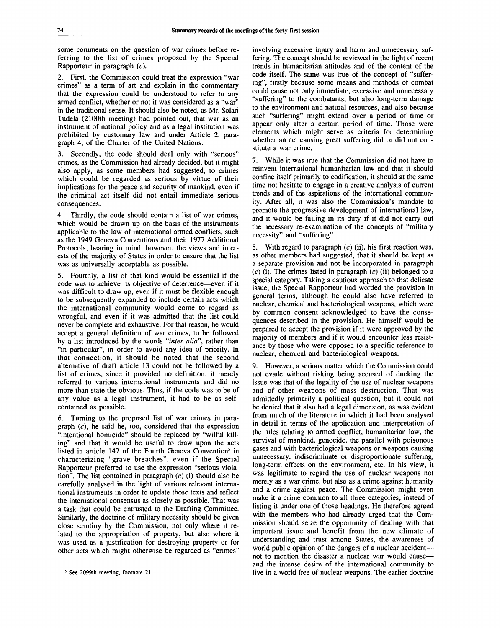some comments on the question of war crimes before referring to the list of crimes proposed by the Special Rapporteur in paragraph (c).

2. First, the Commission could treat the expression "war crimes" as a term of art and explain in the commentary that the expression could be understood to refer to any armed conflict, whether or not it was considered as a "war" in the traditional sense. It should also be noted, as Mr. Solari Tudela (2100th meeting) had pointed out, that war as an instrument of national policy and as a legal institution was prohibited by customary law and under Article 2, paragraph 4, of the Charter of the United Nations.

3. Secondly, the code should deal only with "serious" crimes, as the Commission had already decided, but it might also apply, as some members had suggested, to crimes which could be regarded as serious by virtue of their implications for the peace and security of mankind, even if the criminal act itself did not entail immediate serious consequences.

4. Thirdly, the code should contain a list of war crimes, which would be drawn up on the basis of the instruments applicable to the law of international armed conflicts, such as the 1949 Geneva Conventions and their 1977 Additional Protocols, bearing in mind, however, the views and interests of the majority of States in order to ensure that the list was as universally acceptable as possible.

5. Fourthly, a list of that kind would be essential if the code was to achieve its objective of deterrence—even if it was difficult to draw up, even if it must be flexible enough to be subsequently expanded to include certain acts which the international community would come to regard as wrongful, and even if it was admitted that the list could never be complete and exhaustive. For that reason, he would accept a general definition of war crimes, to be followed by a list introduced by the words *"inter alia",* rather than "in particular", in order to avoid any idea of priority. In that connection, it should be noted that the second alternative of draft article 13 could not be followed by a list of crimes, since it provided no definition: it merely referred to various international instruments and did no more than state the obvious. Thus, if the code was to be of any value as a legal instrument, it had to be as selfcontained as possible.

Turning to the proposed list of war crimes in paragraph  $(c)$ , he said he, too, considered that the expression "intentional homicide" should be replaced by "wilful killing" and that it would be useful to draw upon the acts listed in article 147 of the Fourth Geneva Convention<sup>5</sup> in characterizing "grave breaches", even if the Special Rapporteur preferred to use the expression "serious violation". The list contained in paragraph  $(c)$  (i) should also be carefully analysed in the light of various relevant international instruments in order to update those texts and reflect the international consensus as closely as possible. That was a task that could be entrusted to the Drafting Committee. Similarly, the doctrine of military necessity should be given close scrutiny by the Commission, not only where it related to the appropriation of property, but also where it was used as a justification for destroying property or for other acts which might otherwise be regarded as "crimes"

involving excessive injury and harm and unnecessary suffering. The concept should be reviewed in the light of recent trends in humanitarian attitudes and of the content of the code itself. The same was true of the concept of "suffering", firstly because some means and methods of combat could cause not only immediate, excessive and unnecessary "suffering" to the combatants, but also long-term damage to the environment and natural resources, and also because such "suffering" might extend over a period of time or appear only after a certain period of time. Those were elements which might serve as criteria for determining whether an act causing great suffering did or did not constitute a war crime.

7. While it was true that the Commission did not have to reinvent international humanitarian law and that it should confine itself primarily to codification, it should at the same time not hesitate to engage in a creative analysis of current trends and of the aspirations of the international community. After all, it was also the Commission's mandate to promote the progressive development of international law, and it would be failing in its duty if it did not carry out the necessary re-examination of the concepts of "military necessity" and "suffering".

8. With regard to paragraph *(c)* (ii), his first reaction was, as other members had suggested, that it should be kept as a separate provision and not be incorporated in paragraph  $(c)$  (i). The crimes listed in paragraph  $(c)$  (ii) belonged to a special category. Taking a cautious approach to that delicate issue, the Special Rapporteur had worded the provision in general terms, although he could also have referred to nuclear, chemical and bacteriological weapons, which were by common consent acknowledged to have the consequences described in the provision. He himself would be prepared to accept the provision if it were approved by the majority of members and if it would encounter less resistance by those who were opposed to a specific reference to nuclear, chemical and bacteriological weapons.

9. However, a serious matter which the Commission could not evade without risking being accused of ducking the issue was that of the legality of the use of nuclear weapons and of other weapons of mass destruction. That was admittedly primarily a political question, but it could not be denied that it also had a legal dimension, as was evident from much of the literature in which it had been analysed in detail in terms of the application and interpretation of the rules relating to armed conflict, humanitarian law, the survival of mankind, genocide, the parallel with poisonous gases and with bacteriological weapons or weapons causing unnecessary, indiscriminate or disproportionate suffering, long-term effects on the environment, etc. In his view, it was legitimate to regard the use of nuclear weapons not merely as a war crime, but also as a crime against humanity and a crime against peace. The Commission might even make it a crime common to all three categories, instead of listing it under one of those headings. He therefore agreed with the members who had already urged that the Commission should seize the opportunity of dealing with that important issue and benefit from the new climate of understanding and trust among States, the awareness of world public opinion of the dangers of a nuclear accident not to mention the disaster a nuclear war would cause and the intense desire of the international community to live in a world free of nuclear weapons. The earlier doctrine

<sup>5</sup> See 2099th meeting, footnote 21.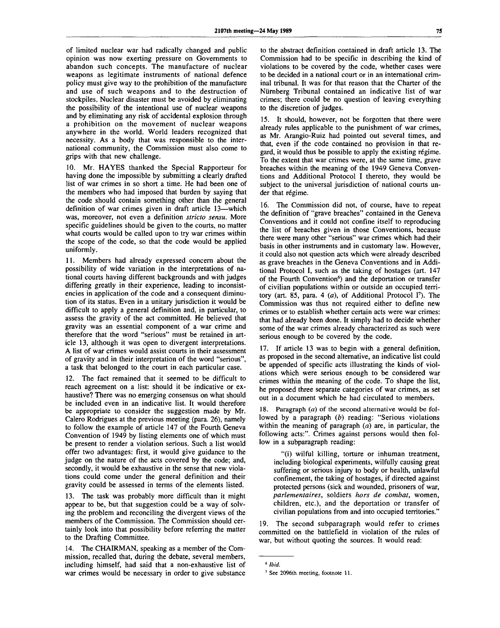of limited nuclear war had radically changed and public opinion was now exerting pressure on Governments to abandon such concepts. The manufacture of nuclear weapons as legitimate instruments of national defence policy must give way to the prohibition of the manufacture and use of such weapons and to the destruction of stockpiles. Nuclear disaster must be avoided by eliminating the possibility of the intentional use of nuclear weapons and by eliminating any risk of accidental explosion through a prohibition on the movement of nuclear weapons anywhere in the world. World leaders recognized that necessity. As a body that was responsible to the international community, the Commission must also come to grips with that new challenge.

10. Mr. HAYES thanked the Special Rapporteur for having done the impossible by submitting a clearly drafted list of war crimes in so short a time. He had been one of the members who had imposed that burden by saying that the code should contain something other than the general definition of war crimes given in draft article 13—which was, moreover, not even a definition *stricto sensu.* More specific guidelines should be given to the courts, no matter what courts would be called upon to try war crimes within the scope of the code, so that the code would be applied uniformly.

11. Members had already expressed concern about the possibility of wide variation in the interpretations of national courts having different backgrounds and with judges differing greatly in their experience, leading to inconsistencies in application of the code and a consequent diminution of its status. Even in a unitary jurisdiction it would be difficult to apply a general definition and, in particular, to assess the gravity of the act committed. He believed that gravity was an essential component of a war crime and therefore that the word "serious" must be retained in article 13, although it was open to divergent interpretations. A list of war crimes would assist courts in their assessment of gravity and in their interpretation of the word "serious", a task that belonged to the court in each particular case.

12. The fact remained that it seemed to be difficult to reach agreement on a list: should it be indicative or exhaustive? There was no emerging consensus on what should be included even in an indicative list. It would therefore be appropriate to consider the suggestion made by Mr. Calero Rodrigues at the previous meeting (para. 26), namely to follow the example of article 147 of the Fourth Geneva Convention of 1949 by listing elements one of which must be present to render a violation serious. Such a list would offer two advantages: first, it would give guidance to the judge on the nature of the acts covered by the code; and, secondly, it would be exhaustive in the sense that new violations could come under the general definition and their gravity could be assessed in terms of the elements listed.

13. The task was probably more difficult than it might appear to be, but that suggestion could be a way of solving the problem and reconciling the divergent views of the members of the Commission. The Commission should certainly look into that possibility before referring the matter to the Drafting Committee.

14. The CHAIRMAN, speaking as a member of the Commission, recalled that, during the debate, several members, including himself, had said that a non-exhaustive list of war crimes would be necessary in order to give substance to the abstract definition contained in draft article 13. The Commission had to be specific in describing the kind of violations to be covered by the code, whether cases were to be decided in a national court or in an international criminal tribunal. It was for that reason that the Charter of the Niirnberg Tribunal contained an indicative list of war crimes; there could be no question of leaving everything to the discretion of judges.

15. It should, however, not be forgotten that there were already rules applicable to the punishment of war crimes, as Mr. Arangio-Ruiz had pointed out several times, and that, even if the code contained no provision in that regard, it would thus be possible to apply the existing régime. To the extent that war crimes were, at the same time, grave breaches within the meaning of the 1949 Geneva Conventions and Additional Protocol I thereto, they would be subject to the universal jurisdiction of national courts under that régime.

16. The Commission did not, of course, have to repeat the definition of "grave breaches" contained in the Geneva Conventions and it could not confine itself to reproducing the list of breaches given in those Conventions, because there were many other "serious" war crimes which had their basis in other instruments and in customary law. However, it could also not question acts which were already described as grave breaches in the Geneva Conventions and in Additional Protocol I, such as the taking of hostages (art. 147 of the Fourth Convention<sup>6</sup>) and the deportation or transfer of civilian populations within or outside an occupied territory (art. 85, para. 4 *(a),* of Additional Protocol I<sup>7</sup> ). The Commission was thus not required either to define new crimes or to establish whether certain acts were war crimes: that had already been done. It simply had to decide whether some of the war crimes already characterized as such were serious enough to be covered by the code.

17. If article 13 was to begin with a general definition, as proposed in the second alternative, an indicative list could be appended of specific acts illustrating the kinds of violations which were serious enough to be considered war crimes within the meaning of the code. To shape the list, he proposed three separate categories of war crimes, as set out in a document which he had circulated to members.

18. Paragraph *(a)* of the second alternative would be followed by a paragraph *(b)* reading: "Serious violations within the meaning of paragraph *(a)* are, in particular, the following acts:". Crimes against persons would then follow in a subparagraph reading:

"(i) wilful killing, torture or inhuman treatment, including biological experiments, wilfully causing great suffering or serious injury to body or health, unlawful confinement, the taking of hostages, if directed against protected persons (sick and wounded, prisoners of war, *parlementaires,* soldiers *hors de combat,* women, children, etc.), and the deportation or transfer of civilian populations from and into occupied territories."

19. The second subparagraph would refer to crimes committed on the battlefield in violation of the rules of war, but without quoting the sources. It would read:

<sup>6</sup>  *Ibid.*

<sup>7</sup> See 2096th meeting, footnote 11.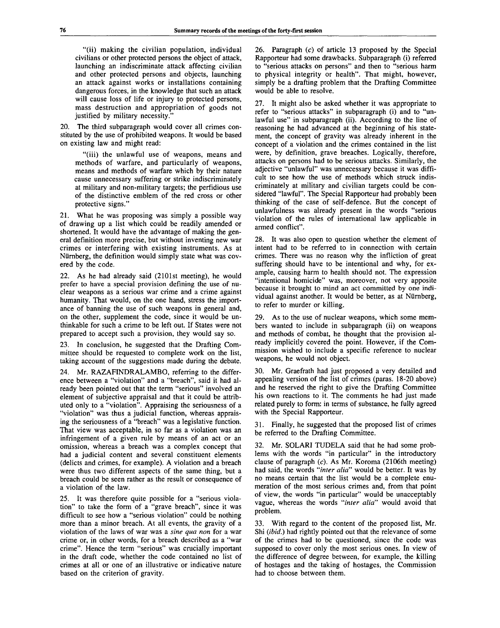"(ii) making the civilian population, individual civilians or other protected persons the object of attack, launching an indiscriminate attack affecting civilian and other protected persons and objects, launching an attack against works or installations containing dangerous forces, in the knowledge that such an attack will cause loss of life or injury to protected persons, mass destruction and appropriation of goods not justified by military necessity.'

20. The third subparagraph would cover all crimes constituted by the use of prohibited weapons. It would be based on existing law and might read:

"(iii) the unlawful use of weapons, means and methods of warfare, and particularly of weapons, means and methods of warfare which by their nature cause unnecessary suffering or strike indiscriminately at military and non-military targets; the perfidious use of the distinctive emblem of the red cross or other protective signs."

21. What he was proposing was simply a possible way of drawing up a list which could be readily amended or shortened. It would have the advantage of making the general definition more precise, but without inventing new war crimes or interfering with existing instruments. As at Nurnberg, the definition would simply state what was covered by the code.

22. As he had already said (2101st meeting), he would prefer to have a special provision defining the use of nuclear weapons as a serious war crime and a crime against humanity. That would, on the one hand, stress the importance of banning the use of such weapons in general and, on the other, supplement the code, since it would be unthinkable for such a crime to be left out. If States were not prepared to accept such a provision, they would say so.

23. In conclusion, he suggested that the Drafting Committee should be requested to complete work on the list, taking account of the suggestions made during the debate.

24. Mr. RAZAFINDRALAMBO, referring to the difference between a "violation" and a "breach", said it had already been pointed out that the term "serious" involved an element of subjective appraisal and that it could be attributed only to a "violation". Appraising the seriousness of a "violation" was thus a judicial function, whereas appraising the seriousness of a "breach" was a legislative function. That view was acceptable, in so far as a violation was an infringement of a given rule by means of an act or an omission, whereas a breach was a complex concept that had a judicial content and several constituent elements (delicts and crimes, for example). A violation and a breach were thus two different aspects of the same thing, but a breach could be seen rather as the result or consequence of a violation of the law.

25. It was therefore quite possible for a "serious violation" to take the form of a "grave breach", since it was difficult to see how a "serious violation" could be nothing more than a minor breach. At all events, the gravity of a violation of the laws of war was a *sine qua non* for a war crime or, in other words, for a breach described as a "war crime". Hence the term "serious" was crucially important in the draft code, whether the code contained no list of crimes at all or one of an illustrative or indicative nature based on the criterion of gravity.

26. Paragraph (c) of article 13 proposed by the Special Rapporteur had some drawbacks. Subparagraph (i) referred to "serious attacks on persons" and then to "serious harm to physical integrity or health". That might, however, simply be a drafting problem that the Drafting Committee would be able to resolve.

27. It might also be asked whether it was appropriate to refer to "serious attacks" in subparagraph (i) and to "unlawful use" in subparagraph (ii). According to the line of reasoning he had advanced at the beginning of his statement, the concept of gravity was already inherent in the concept of a violation and the crimes contained in the list were, by definition, grave breaches. Logically, therefore, attacks on persons had to be serious attacks. Similarly, the adjective "unlawful" was unnecessary because it was difficult to see how the use of methods which struck indiscriminately at military and civilian targets could be considered "lawful". The Special Rapporteur had probably been thinking of the case of self-defence. But the concept of unlawfulness was already present in the words "serious violation of the rules of international law applicable in armed conflict".

28. It was also open to question whether the element of intent had to be referred to in connection with certain crimes. There was no reason why the infliction of great suffering should have to be intentional and why, for example, causing harm to health should not. The expression "intentional homicide" was, moreover, not very apposite because it brought to mind an act committed by one individual against another. It would be better, as at NUrnberg, to refer to murder or killing.

29. As to the use of nuclear weapons, which some members wanted to include in subparagraph (ii) on weapons and methods of combat, he thought that the provision already implicitly covered the point. However, if the Commission wished to include a specific reference to nuclear weapons, he would not object.

30. Mr. Graefrath had just proposed a very detailed and appealing version of the list of crimes (paras. 18-20 above) and he reserved the right to give the Drafting Committee his own reactions to it. The comments he had just made related purely to form: in terms of substance, he fully agreed with the Special Rapporteur.

31. Finally, he suggested that the proposed list of crimes be referred to the Drafting Committee.

32. Mr. SOLARI TUDELA said that he had some problems with the words "in particular" in the introductory clause of paragraph  $(c)$ . As Mr. Koroma (2106th meeting) had said, the words *"inter alia"* would be better. It was by no means certain that the list would be a complete enumeration of the most serious crimes and, from that point of view, the words "in particular" would be unacceptably vague, whereas the words *"inter alia"* would avoid that problem.

33. With regard to the content of the proposed list, Mr. Shi *(ibid.)* had rightly pointed out that the relevance of some of the crimes had to be questioned, since the code was supposed to cover only the most serious ones. In view of the difference of degree between, for example, the killing of hostages and the taking of hostages, the Commission had to choose between them.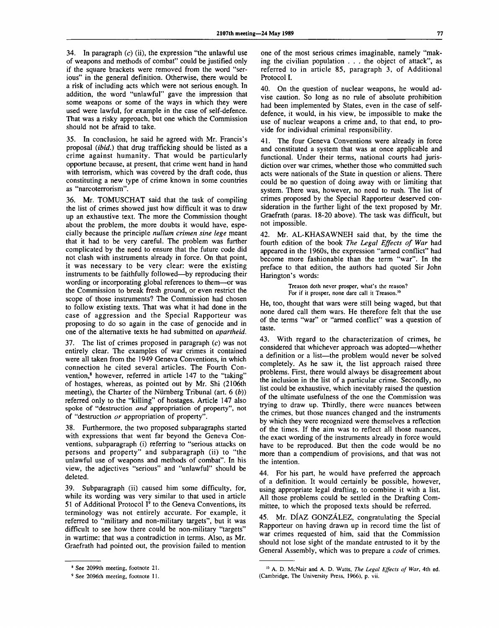34. In paragraph  $(c)$  (ii), the expression "the unlawful use of weapons and methods of combat" could be justified only if the square brackets were removed from the word "serious" in the general definition. Otherwise, there would be a risk of including acts which were not serious enough. In addition, the word "unlawful" gave the impression that some weapons or some of the ways in which they were used were lawful, for example in the case of self-defence. That was a risky approach, but one which the Commission should not be afraid to take.

35. In conclusion, he said he agreed with Mr. Francis's proposal *(ibid.)* that drug trafficking should be listed as a crime against humanity. That would be particularly opportune because, at present, that crime went hand in hand with terrorism, which was covered by the draft code, thus constituting a new type of crime known in some countries as "narcoterrorism".

36. Mr. TOMUSCHAT said that the task of compiling the list of crimes showed just how difficult it was to draw up an exhaustive text. The more the Commission thought about the problem, the more doubts it would have, especially because the principle *nullum crimen sine lege* meant that it had to be very careful. The problem was further complicated by the need to ensure that the future code did not clash with instruments already in force. On that point, it was necessary to be very clear: were the existing instruments to be faithfully followed—by reproducing their wording or incorporating global references to them—or was the Commission to break fresh ground, or even restrict the scope of those instruments? The Commission had chosen to follow existing texts. That was what it had done in the case of aggression and the Special Rapporteur was proposing to do so again in the case of genocide and in one of the alternative texts he had submitted on *apartheid.*

The list of crimes proposed in paragraph  $(c)$  was not entirely clear. The examples of war crimes it contained were all taken from the 1949 Geneva Conventions, in which connection he cited several articles. The Fourth Convention,<sup>8</sup> however, referred in article 147 to the "taking" of hostages, whereas, as pointed out by Mr. Shi (2106th meeting), the Charter of the Niirnberg Tribunal (art. 6 *(b))* referred only to the "killing" of hostages. Article 147 also spoke of "destruction *and* appropriation of property", not of "destruction *or* appropriation of property".

38. Furthermore, the two proposed subparagraphs started with expressions that went far beyond the Geneva Conventions, subparagraph (i) referring to "serious attacks on persons and property" and subparagraph (ii) to "the unlawful use of weapons and methods of combat". In his view, the adjectives "serious" and "unlawful" should be deleted.

39. Subparagraph (ii) caused him some difficulty, for, while its wording was very similar to that used in article 51 of Additional Protocol  $I^9$  to the Geneva Conventions, its terminology was not entirely accurate. For example, it referred to "military and non-military targets", but it was difficult to see how there could be non-military "targets" in wartime: that was a contradiction in terms. Also, as Mr. Graefrath had pointed out, the provision failed to mention

one of the most serious crimes imaginable, namely "making the civilian population .. . the object of attack", as referred to in article 85, paragraph 3, of Additional Protocol I.

40. On the question of nuclear weapons, he would advise caution. So long as no rule of absolute prohibition had been implemented by States, even in the case of selfdefence, it would, in his view, be impossible to make the use of nuclear weapons a crime and, to that end, to provide for individual criminal responsibility.

41. The four Geneva Conventions were already in force and constituted a system that was at once applicable and functional. Under their terms, national courts had jurisdiction over war crimes, whether those who committed such acts were nationals of the State in question or aliens. There could be no question of doing away with or limiting that system. There was, however, no need to rush. The list of crimes proposed by the Special Rapporteur deserved consideration in the further light of the text proposed by Mr. Graefrath (paras. 18-20 above). The task was difficult, but not impossible.

42. Mr. AL-KHASAWNEH said that, by the time the fourth edition of the book *The Legal Effects of War* had appeared in the 1960s, the expression "armed conflict" had become more fashionable than the term "war". In the preface to that edition, the authors had quoted Sir John Harington's words:

> Treason doth never prosper, what's the reason? For if it prosper, none dare call it Treason.<sup>1</sup>

He, too, thought that wars were still being waged, but that none dared call them wars. He therefore felt that the use of the terms "war" or "armed conflict" was a question of taste.

43. With regard to the characterization of crimes, he considered that whichever approach was adopted—whether a definition or a list—the problem would never be solved completely. As he saw it, the list approach raised three problems. First, there would always be disagreement about the inclusion in the list of a particular crime. Secondly, no list could be exhaustive, which inevitably raised the question of the ultimate usefulness of the one the Commission was trying to draw up. Thirdly, there were nuances between the crimes, but those nuances changed and the instruments by which they were recognized were themselves a reflection of the times. If the aim was to reflect all those nuances, the exact wording of the instruments already in force would have to be reproduced. But then the code would be no more than a compendium of provisions, and that was not the intention.

44. For his part, he would have preferred the approach of a definition. It would certainly be possible, however, using appropriate legal drafting, to combine it with a list. All those problems could be settled in the Drafting Committee, to which the proposed texts should be referred.

Mr. DIAZ GONZÁLEZ, congratulating the Special Rapporteur on having drawn up in record time the list of war crimes requested of him, said that the Commission should not lose sight of the mandate entrusted to it by the General Assembly, which was to prepare a *code* of crimes.

<sup>8</sup> See 2099th meeting, footnote 21.

<sup>&</sup>lt;sup>9</sup> See 2096th meeting, footnote 11.

<sup>10</sup> A. D. McNair and A. D. Watts, *The Legal Effects of War,* 4th ed. (Cambridge, The University Press, 1966), p. vii.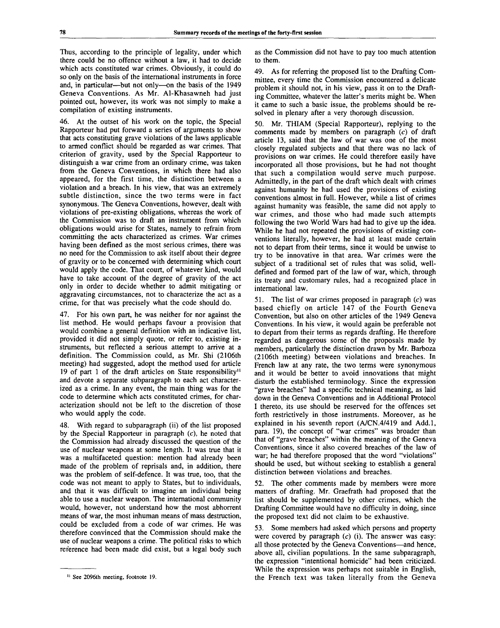Thus, according to the principle of legality, under which there could be no offence without a law, it had to decide which acts constituted war crimes. Obviously, it could do so only on the basis of the international instruments in force and, in particular—but not only—on the basis of the 1949 Geneva Conventions. As Mr. Al-Khasawneh had just pointed out, however, its work was not simply to make a compilation of existing instruments.

46. At the outset of his work on the topic, the Special Rapporteur had put forward a series of arguments to show that acts constituting grave violations of the laws applicable to armed conflict should be regarded as war crimes. That criterion of gravity, used by the Special Rapporteur to distinguish a war crime from an ordinary crime, was taken from the Geneva Conventions, in which there had also appeared, for the first time, the distinction between a violation and a breach. In his view, that was an extremely subtle distinction, since the two terms were in fact synonymous. The Geneva Conventions, however, dealt with violations of pre-existing obligations, whereas the work of the Commission was to draft an instrument from which obligations would arise for States, namely to refrain from committing the acts characterized as crimes. War crimes having been defined as the most serious crimes, there was no need for the Commission to ask itself about their degree of gravity or to be concerned with determining which court would apply the code. That court, of whatever kind, would have to take account of the degree of gravity of the act only in order to decide whether to admit mitigating or aggravating circumstances, not to characterize the act as a crime, for that was precisely what the code should do.

47. For his own part, he was neither for nor against the list method. He would perhaps favour a provision that would combine a general definition with an indicative list, provided it did not simply quote, or refer to, existing instruments, but reflected a serious attempt to arrive at a definition. The Commission could, as Mr. Shi (2106th meeting) had suggested, adopt the method used for article 19 of part 1 of the draft articles on State responsibility" and devote a separate subparagraph to each act characterized as a crime. In any event, the main thing was for the code to determine which acts constituted crimes, for characterization should not be left to the discretion of those who would apply the code.

48. With regard to subparagraph (ii) of the list proposed by the Special Rapporteur in paragraph  $(c)$ , he noted that the Commission had already discussed the question of the use of nuclear weapons at some length. It was true that it was a multifaceted question: mention had already been made of the problem of reprisals and, in addition, there was the problem of self-defence. It was true, too, that the code was not meant to apply to States, but to individuals, and that it was difficult to imagine an individual being able to use a nuclear weapon. The international community would, however, not understand how the most abhorrent means of war, the most inhuman means of mass destruction, could be excluded from a code of war crimes. He was therefore convinced that the Commission should make the use of nuclear weapons a crime. The political risks to which reference had been made did exist, but a legal body such

as the Commission did not have to pay too much attention to them.

49. As for referring the proposed list to the Drafting Committee, every time the Commission encountered a delicate problem it should not, in his view, pass it on to the Drafting Committee, whatever the latter's merits might be. When it came to such a basic issue, the problems should be resolved in plenary after a very thorough discussion.

50. Mr. THIAM (Special Rapporteur), replying to the comments made by members on paragraph  $(c)$  of draft article 13, said that the law of war was one of the most closely regulated subjects and that there was no lack of provisions on war crimes. He could therefore easily have incorporated all those provisions, but he had not thought that such a compilation would serve much purpose. Admittedly, in the part of the draft which dealt with crimes against humanity he had used the provisions of existing conventions almost in full. However, while a list of crimes against humanity was feasible, the same did not apply to war crimes, and those who had made such attempts following the two World Wars had had to give up the idea. While he had not repeated the provisions of existing conventions literally, however, he had at least made certain not to depart from their terms, since it would be unwise to try to be innovative in that area. War crimes were the subject of a traditional set of rules that was solid, welldefined and formed part of the law of war, which, through its treaty and customary rules, had a recognized place in international law.

51. The list of war crimes proposed in paragraph  $(c)$  was based chiefly on article 147 of the Fourth Geneva Convention, but also on other articles of the 1949 Geneva Conventions. In his view, it would again be preferable not to depart from their terms as regards drafting. He therefore regarded as dangerous some of the proposals made by members, particularly the distinction drawn by Mr. Barboza (2106th meeting) between violations and breaches. In French law at any rate, the two terms were synonymous and it would be better to avoid innovations that might disturb the established terminology. Since the expression "grave breaches" had a specific technical meaning, as laid down in the Geneva Conventions and in Additional Protocol I thereto, its use should be reserved for the offences set forth restrictively in those instruments. Moreover, as he explained in his seventh report (A/CN.4/419 and Add.l, para. 19), the concept of "war crimes" was broader than that of "grave breaches" within the meaning of the Geneva Conventions, since it also covered breaches of the law of war; he had therefore proposed that the word "violations" should be used, but without seeking to establish a general distinction between violations and breaches.

52. The other comments made by members were more matters of drafting. Mr. Graefrath had proposed that the list should be supplemented by other crimes, which the Drafting Committee would have no difficulty in doing, since the proposed text did not claim to be exhaustive.

53. Some members had asked which persons and property were covered by paragraph  $(c)$  (i). The answer was easy: all those protected by the Geneva Conventions—and hence, above all, civilian populations. In the same subparagraph, the expression "intentional homicide" had been criticized. While the expression was perhaps not suitable in English, the French text was taken literally from the Geneva

<sup>&</sup>lt;sup>11</sup> See 2096th meeting, footnote 19.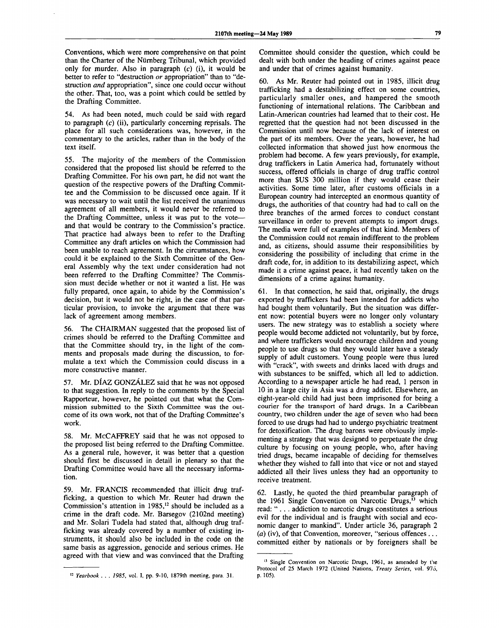Conventions, which were more comprehensive on that point than the Charter of the Nurnberg Tribunal, which provided only for murder. Also in paragraph  $(c)$  (i), it would be better to refer to "destruction *or* appropriation" than to "destruction *and* appropriation", since one could occur without the other. That, too, was a point which could be settled by the Drafting Committee.

54. As had been noted, much could be said with regard to paragraph  $(c)$  (ii), particularly concerning reprisals. The place for all such considerations was, however, in the commentary to the articles, rather than in the body of the text itself.

55. The majority of the members of the Commission considered that the proposed list should be referred to the Drafting Committee. For his own part, he did not want the question of the respective powers of the Drafting Committee and the Commission to be discussed once again. If it was necessary to wait until the list received the unanimous agreement of all members, it would never be referred to the Drafting Committee, unless it was put to the vote and that would be contrary to the Commission's practice. That practice had always been to refer to the Drafting Committee any draft articles on which the Commission had been unable to reach agreement. In the circumstances, how could it be explained to the Sixth Committee of the General Assembly why the text under consideration had not been referred to the Drafting Committee? The Commission must decide whether or not it wanted a list. He was fully prepared, once again, to abide by the Commission's decision, but it would not be right, in the case of that particular provision, to invoke the argument that there was lack of agreement among members.

56. The CHAIRMAN suggested that the proposed list of crimes should be referred to the Drafting Committee and that the Committee should try, in the light of the comments and proposals made during the discussion, to formulate a text which the Commission could discuss in a more constructive manner.

57. Mr. DÍAZ GONZÁLEZ said that he was not opposed to that suggestion. In reply to the comments by the Special Rapporteur, however, he pointed out that what the Commission submitted to the Sixth Committee was the outcome of its own work, not that of the Drafting Committee's work.

58. Mr. McCAFFREY said that he was not opposed to the proposed list being referred to the Drafting Committee. As a general rule, however, it was better that a question should first be discussed in detail in plenary so that the Drafting Committee would have all the necessary information.

59. Mr. FRANCIS recommended that illicit drug trafficking, a question to which Mr. Reuter had drawn the Commission's attention in  $1985$ ,<sup>12</sup> should be included as a crime in the draft code. Mr. Barsegov (2102nd meeting) and Mr. Solari Tudela had stated that, although drug trafficking was already covered by a number of existing instruments, it should also be included in the code on the same basis as aggression, genocide and serious crimes. He agreed with that view and was convinced that the Drafting

Committee should consider the question, which could be dealt with both under the heading of crimes against peace and under that of crimes against humanity.

60. As Mr. Reuter had pointed out in 1985, illicit drug trafficking had a destabilizing effect on some countries, particularly smaller ones, and hampered the smooth functioning of international relations. The Caribbean and Latin-American countries had learned that to their cost. He regretted that the question had not been discussed in the Commission until now because of the lack of interest on the part of its members. Over the years, however, he had collected information that showed just how enormous the problem had become. A few years previously, for example, drug traffickers in Latin America had, fortunately without success, offered officials in charge of drug traffic control more than \$US 300 million if they would cease their activities. Some time later, after customs officials in a European country had intercepted an enormous quantity of drugs, the authorities of that country had had to call on the three branches of the armed forces to conduct constant surveillance in order to prevent attempts to import drugs. The media were full of examples of that kind. Members of the Commission could not remain indifferent to the problem and, as citizens, should assume their responsibilities by considering the possibility of including that crime in the draft code, for, in addition to its destabilizing aspect, which made it a crime against peace, it had recently taken on the dimensions of a crime against humanity.

61. In that connection, he said that, originally, the drugs exported by traffickers had been intended for addicts who had bought them voluntarily. But the situation was different now: potential buyers were no longer only voluntary users. The new strategy was to establish a society where people would become addicted not voluntarily, but by force, and where traffickers would encourage children and young people to use drugs so that they would later have a steady supply of adult customers. Young people were thus lured with "crack", with sweets and drinks laced with drugs and with substances to be sniffed, which all led to addiction. According to a newspaper article he had read, 1 person in 10 in a large city in Asia was a drug addict. Elsewhere, an eight-year-old child had just been imprisoned for being a courier for the transport of hard drugs. In a Caribbean country, two children under the age of seven who had been forced to use drugs had had to undergo psychiatric treatment for detoxification. The drug barons were obviously implementing a strategy that was designed to perpetuate the drug culture by focusing on young people, who, after having tried drugs, became incapable of deciding for themselves whether they wished to fall into that vice or not and stayed addicted all their lives unless they had an opportunity to receive treatment.

62. Lastly, he quoted the third preambular paragraph of the 1961 Single Convention on Narcotic Drugs,<sup>13</sup> which read: ".. . addiction to narcotic drugs constitutes a serious evil for the individual and is fraught with social and economic danger to mankind". Under article 36, paragraph 2 *(a)* (iv), of that Convention, moreover, "serious offences .. . committed either by nationals or by foreigners shall be

<sup>12</sup>  *Yearbook . . . 1985,* vol. I, pp. 9-10, 1879th meeting, para. 31.

<sup>&</sup>lt;sup>13</sup> Single Convention on Narcotic Drugs, 1961, as amended by the Protocol of 25 March 1972 (United Nations, *Treaty Series,* vol. 976, p. 105).